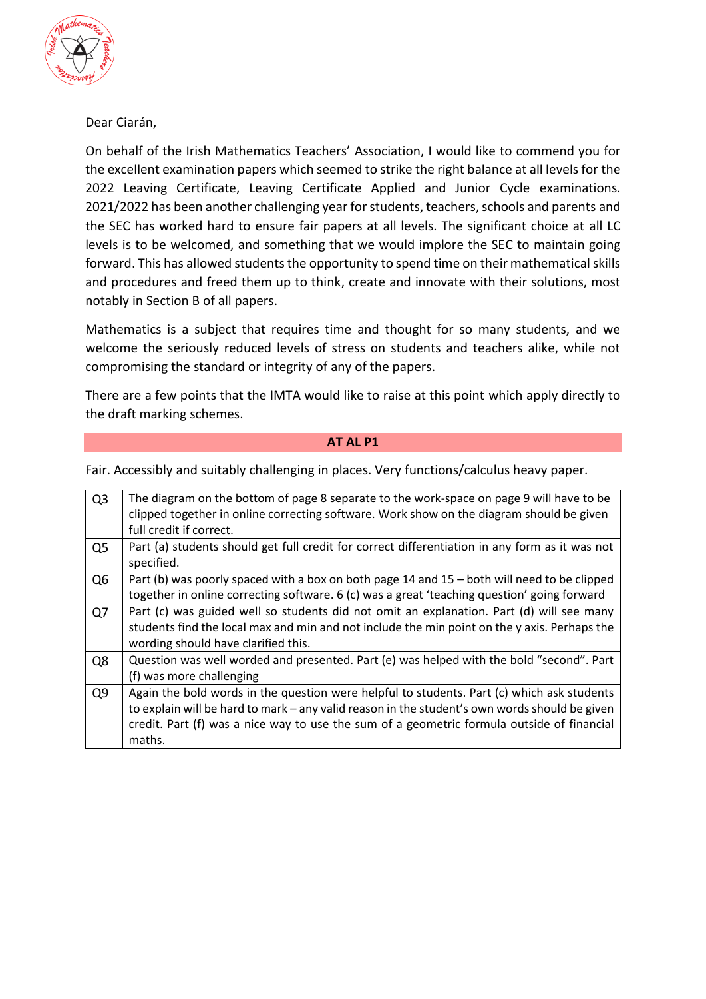

Dear Ciarán,

On behalf of the Irish Mathematics Teachers' Association, I would like to commend you for the excellent examination papers which seemed to strike the right balance at all levels for the 2022 Leaving Certificate, Leaving Certificate Applied and Junior Cycle examinations. 2021/2022 has been another challenging year for students, teachers, schools and parents and the SEC has worked hard to ensure fair papers at all levels. The significant choice at all LC levels is to be welcomed, and something that we would implore the SEC to maintain going forward. This has allowed students the opportunity to spend time on their mathematical skills and procedures and freed them up to think, create and innovate with their solutions, most notably in Section B of all papers.

Mathematics is a subject that requires time and thought for so many students, and we welcome the seriously reduced levels of stress on students and teachers alike, while not compromising the standard or integrity of any of the papers.

There are a few points that the IMTA would like to raise at this point which apply directly to the draft marking schemes.

#### **AT AL P1**

 $Q3$  The diagram on the bottom of page 8 separate to the work-space on page 9 will have to be clipped together in online correcting software. Work show on the diagram should be given full credit if correct.  $Q5$  Part (a) students should get full credit for correct differentiation in any form as it was not specified.  $Q6$  Part (b) was poorly spaced with a box on both page 14 and 15 – both will need to be clipped together in online correcting software. 6 (c) was a great 'teaching question' going forward  $Q7$  Part (c) was guided well so students did not omit an explanation. Part (d) will see many students find the local max and min and not include the min point on the y axis. Perhaps the wording should have clarified this. Q8  $\parallel$  Question was well worded and presented. Part (e) was helped with the bold "second". Part (f) was more challenging  $Q9$  Again the bold words in the question were helpful to students. Part (c) which ask students to explain will be hard to mark – any valid reason in the student's own words should be given credit. Part (f) was a nice way to use the sum of a geometric formula outside of financial maths.

Fair. Accessibly and suitably challenging in places. Very functions/calculus heavy paper.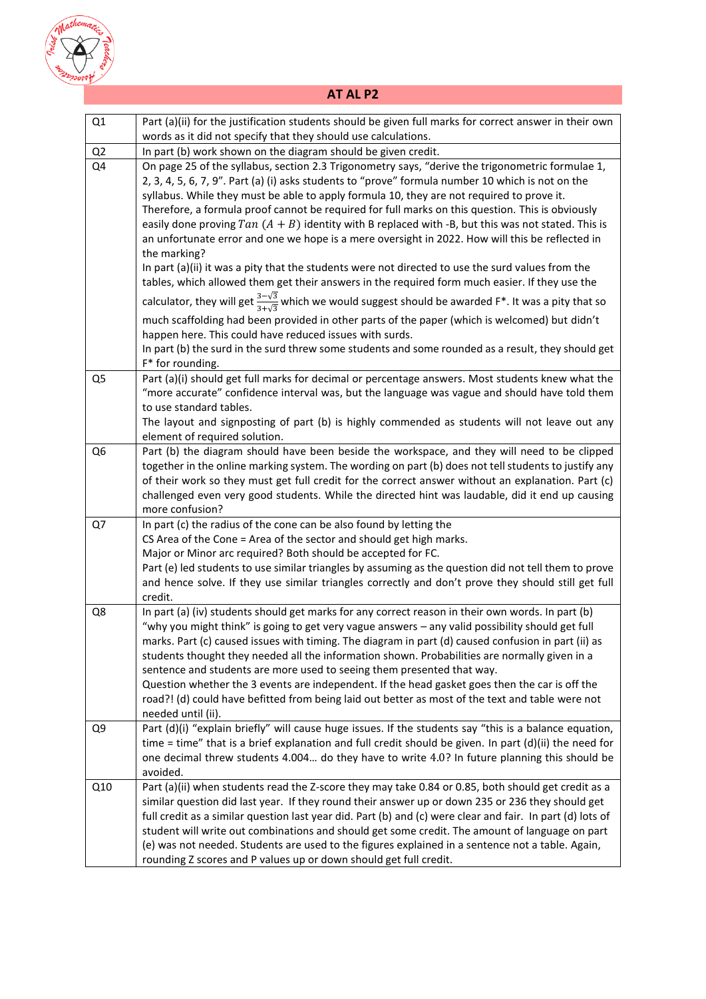

# **AT AL P2**

| Q1             | Part (a)(ii) for the justification students should be given full marks for correct answer in their own                                                                                                                                                                                                                                                                                                                                                                                                                                                                                                                                                                                                                                 |
|----------------|----------------------------------------------------------------------------------------------------------------------------------------------------------------------------------------------------------------------------------------------------------------------------------------------------------------------------------------------------------------------------------------------------------------------------------------------------------------------------------------------------------------------------------------------------------------------------------------------------------------------------------------------------------------------------------------------------------------------------------------|
|                | words as it did not specify that they should use calculations.                                                                                                                                                                                                                                                                                                                                                                                                                                                                                                                                                                                                                                                                         |
| Q2             | In part (b) work shown on the diagram should be given credit.                                                                                                                                                                                                                                                                                                                                                                                                                                                                                                                                                                                                                                                                          |
| Q4             | On page 25 of the syllabus, section 2.3 Trigonometry says, "derive the trigonometric formulae 1,<br>2, 3, 4, 5, 6, 7, 9". Part (a) (i) asks students to "prove" formula number 10 which is not on the<br>syllabus. While they must be able to apply formula 10, they are not required to prove it.<br>Therefore, a formula proof cannot be required for full marks on this question. This is obviously<br>easily done proving Tan $(A + B)$ identity with B replaced with -B, but this was not stated. This is<br>an unfortunate error and one we hope is a mere oversight in 2022. How will this be reflected in<br>the marking?<br>In part (a)(ii) it was a pity that the students were not directed to use the surd values from the |
|                | tables, which allowed them get their answers in the required form much easier. If they use the                                                                                                                                                                                                                                                                                                                                                                                                                                                                                                                                                                                                                                         |
|                | calculator, they will get $\frac{3-\sqrt{3}}{3+\sqrt{3}}$ which we would suggest should be awarded F*. It was a pity that so                                                                                                                                                                                                                                                                                                                                                                                                                                                                                                                                                                                                           |
|                | much scaffolding had been provided in other parts of the paper (which is welcomed) but didn't<br>happen here. This could have reduced issues with surds.                                                                                                                                                                                                                                                                                                                                                                                                                                                                                                                                                                               |
|                | In part (b) the surd in the surd threw some students and some rounded as a result, they should get<br>F* for rounding.                                                                                                                                                                                                                                                                                                                                                                                                                                                                                                                                                                                                                 |
| Q <sub>5</sub> | Part (a)(i) should get full marks for decimal or percentage answers. Most students knew what the<br>"more accurate" confidence interval was, but the language was vague and should have told them<br>to use standard tables.                                                                                                                                                                                                                                                                                                                                                                                                                                                                                                           |
|                | The layout and signposting of part (b) is highly commended as students will not leave out any<br>element of required solution.                                                                                                                                                                                                                                                                                                                                                                                                                                                                                                                                                                                                         |
| Q <sub>6</sub> | Part (b) the diagram should have been beside the workspace, and they will need to be clipped<br>together in the online marking system. The wording on part (b) does not tell students to justify any<br>of their work so they must get full credit for the correct answer without an explanation. Part (c)<br>challenged even very good students. While the directed hint was laudable, did it end up causing<br>more confusion?                                                                                                                                                                                                                                                                                                       |
| Q7             | In part (c) the radius of the cone can be also found by letting the                                                                                                                                                                                                                                                                                                                                                                                                                                                                                                                                                                                                                                                                    |
|                | CS Area of the Cone = Area of the sector and should get high marks.                                                                                                                                                                                                                                                                                                                                                                                                                                                                                                                                                                                                                                                                    |
|                | Major or Minor arc required? Both should be accepted for FC.                                                                                                                                                                                                                                                                                                                                                                                                                                                                                                                                                                                                                                                                           |
|                | Part (e) led students to use similar triangles by assuming as the question did not tell them to prove<br>and hence solve. If they use similar triangles correctly and don't prove they should still get full<br>credit.                                                                                                                                                                                                                                                                                                                                                                                                                                                                                                                |
| Q8             | In part (a) (iv) students should get marks for any correct reason in their own words. In part (b)<br>"why you might think" is going to get very vague answers - any valid possibility should get full<br>marks. Part (c) caused issues with timing. The diagram in part (d) caused confusion in part (ii) as<br>students thought they needed all the information shown. Probabilities are normally given in a<br>sentence and students are more used to seeing them presented that way.<br>Question whether the 3 events are independent. If the head gasket goes then the car is off the<br>road?! (d) could have befitted from being laid out better as most of the text and table were not<br>needed until (ii).                    |
| Q9             | Part (d)(i) "explain briefly" will cause huge issues. If the students say "this is a balance equation,<br>time = time" that is a brief explanation and full credit should be given. In part $(d)(ii)$ the need for<br>one decimal threw students 4.004 do they have to write 4.0? In future planning this should be<br>avoided.                                                                                                                                                                                                                                                                                                                                                                                                        |
| Q10            | Part (a)(ii) when students read the Z-score they may take 0.84 or 0.85, both should get credit as a<br>similar question did last year. If they round their answer up or down 235 or 236 they should get<br>full credit as a similar question last year did. Part (b) and (c) were clear and fair. In part (d) lots of<br>student will write out combinations and should get some credit. The amount of language on part<br>(e) was not needed. Students are used to the figures explained in a sentence not a table. Again,<br>rounding Z scores and P values up or down should get full credit.                                                                                                                                       |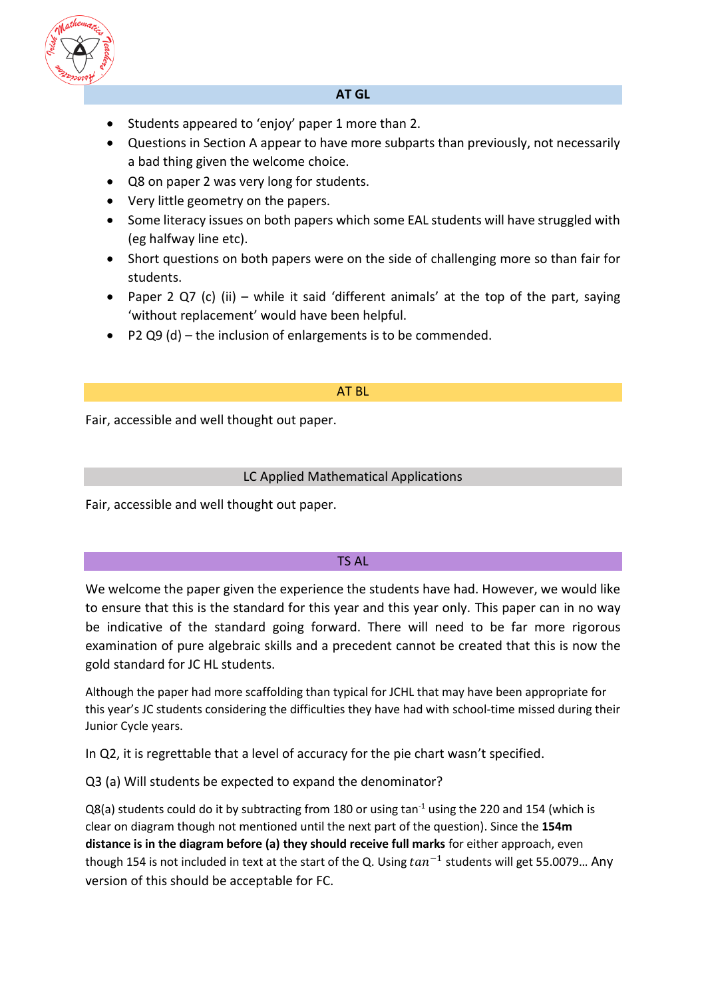

### **AT GL**

- Students appeared to 'enjoy' paper 1 more than 2.
- Questions in Section A appear to have more subparts than previously, not necessarily a bad thing given the welcome choice.
- Q8 on paper 2 was very long for students.
- Very little geometry on the papers.
- Some literacy issues on both papers which some EAL students will have struggled with (eg halfway line etc).
- Short questions on both papers were on the side of challenging more so than fair for students.
- Paper 2 Q7 (c) (ii) while it said 'different animals' at the top of the part, saying 'without replacement' would have been helpful.
- P2 Q9 (d) the inclusion of enlargements is to be commended.

### AT BL

Fair, accessible and well thought out paper.

### LC Applied Mathematical Applications

Fair, accessible and well thought out paper.

#### TS AL

We welcome the paper given the experience the students have had. However, we would like to ensure that this is the standard for this year and this year only. This paper can in no way be indicative of the standard going forward. There will need to be far more rigorous examination of pure algebraic skills and a precedent cannot be created that this is now the gold standard for JC HL students.

Although the paper had more scaffolding than typical for JCHL that may have been appropriate for this year's JC students considering the difficulties they have had with school-time missed during their Junior Cycle years.

In Q2, it is regrettable that a level of accuracy for the pie chart wasn't specified.

Q3 (a) Will students be expected to expand the denominator?

 $Q8(a)$  students could do it by subtracting from 180 or using tan<sup>-1</sup> using the 220 and 154 (which is clear on diagram though not mentioned until the next part of the question). Since the **154m distance is in the diagram before (a) they should receive full marks** for either approach, even though 154 is not included in text at the start of the Q. Using  $tan^{-1}$  students will get 55.0079... Any version of this should be acceptable for FC.